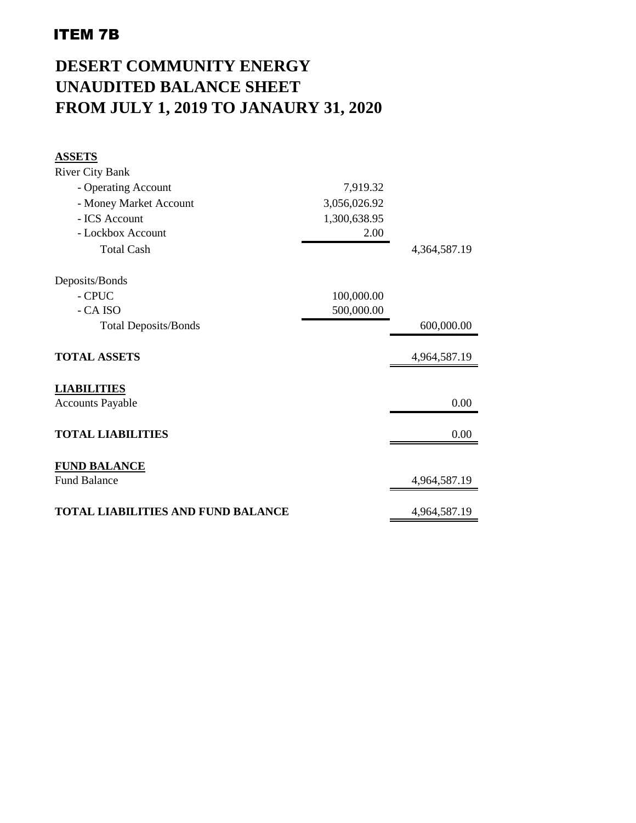## ITEM 7B

## **DESERT COMMUNITY ENERGY UNAUDITED BALANCE SHEET FROM JULY 1, 2019 TO JANAURY 31, 2020**

| <b>ASSETS</b>                             |              |              |
|-------------------------------------------|--------------|--------------|
| <b>River City Bank</b>                    |              |              |
| - Operating Account                       | 7,919.32     |              |
| - Money Market Account                    | 3,056,026.92 |              |
| - ICS Account                             | 1,300,638.95 |              |
| - Lockbox Account                         | 2.00         |              |
| <b>Total Cash</b>                         |              | 4,364,587.19 |
| Deposits/Bonds                            |              |              |
| - CPUC                                    | 100,000.00   |              |
| - CA ISO                                  | 500,000.00   |              |
| <b>Total Deposits/Bonds</b>               |              | 600,000.00   |
| <b>TOTAL ASSETS</b>                       |              | 4,964,587.19 |
| <b>LIABILITIES</b>                        |              |              |
| <b>Accounts Payable</b>                   |              | 0.00         |
| <b>TOTAL LIABILITIES</b>                  |              | 0.00         |
| <b>FUND BALANCE</b>                       |              |              |
| <b>Fund Balance</b>                       |              | 4,964,587.19 |
| <b>TOTAL LIABILITIES AND FUND BALANCE</b> |              | 4,964,587.19 |